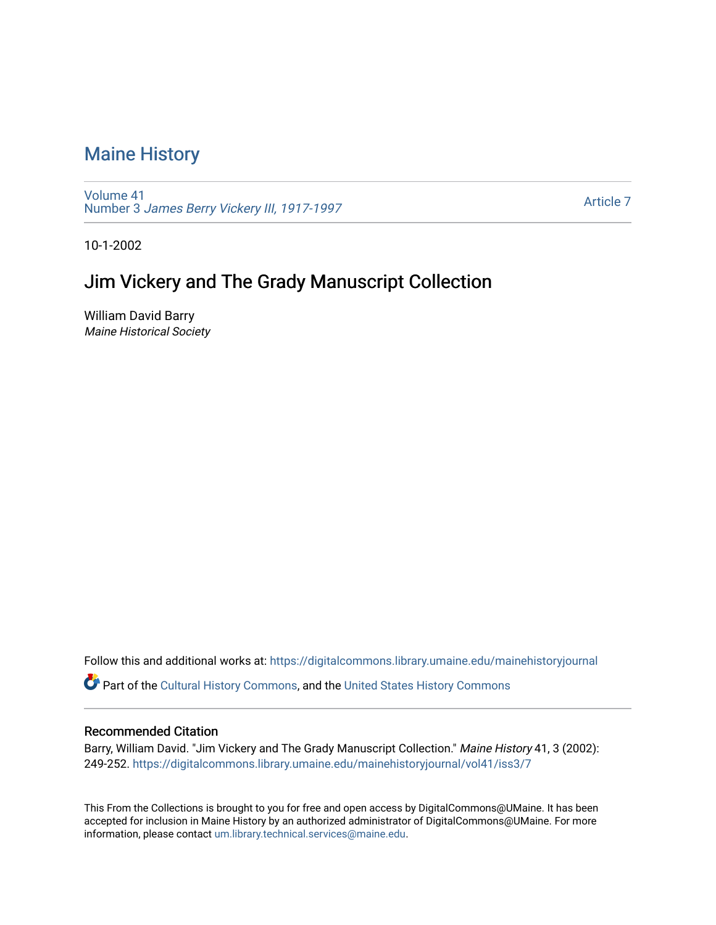## [Maine History](https://digitalcommons.library.umaine.edu/mainehistoryjournal)

[Volume 41](https://digitalcommons.library.umaine.edu/mainehistoryjournal/vol41) Number 3 [James Berry Vickery III, 1917-1997](https://digitalcommons.library.umaine.edu/mainehistoryjournal/vol41/iss3) 

[Article 7](https://digitalcommons.library.umaine.edu/mainehistoryjournal/vol41/iss3/7) 

10-1-2002

### Jim Vickery and The Grady Manuscript Collection

William David Barry Maine Historical Society

Follow this and additional works at: [https://digitalcommons.library.umaine.edu/mainehistoryjournal](https://digitalcommons.library.umaine.edu/mainehistoryjournal?utm_source=digitalcommons.library.umaine.edu%2Fmainehistoryjournal%2Fvol41%2Fiss3%2F7&utm_medium=PDF&utm_campaign=PDFCoverPages) 

Part of the [Cultural History Commons](http://network.bepress.com/hgg/discipline/496?utm_source=digitalcommons.library.umaine.edu%2Fmainehistoryjournal%2Fvol41%2Fiss3%2F7&utm_medium=PDF&utm_campaign=PDFCoverPages), and the [United States History Commons](http://network.bepress.com/hgg/discipline/495?utm_source=digitalcommons.library.umaine.edu%2Fmainehistoryjournal%2Fvol41%2Fiss3%2F7&utm_medium=PDF&utm_campaign=PDFCoverPages) 

#### Recommended Citation

Barry, William David. "Jim Vickery and The Grady Manuscript Collection." Maine History 41, 3 (2002): 249-252. [https://digitalcommons.library.umaine.edu/mainehistoryjournal/vol41/iss3/7](https://digitalcommons.library.umaine.edu/mainehistoryjournal/vol41/iss3/7?utm_source=digitalcommons.library.umaine.edu%2Fmainehistoryjournal%2Fvol41%2Fiss3%2F7&utm_medium=PDF&utm_campaign=PDFCoverPages) 

This From the Collections is brought to you for free and open access by DigitalCommons@UMaine. It has been accepted for inclusion in Maine History by an authorized administrator of DigitalCommons@UMaine. For more information, please contact [um.library.technical.services@maine.edu](mailto:um.library.technical.services@maine.edu).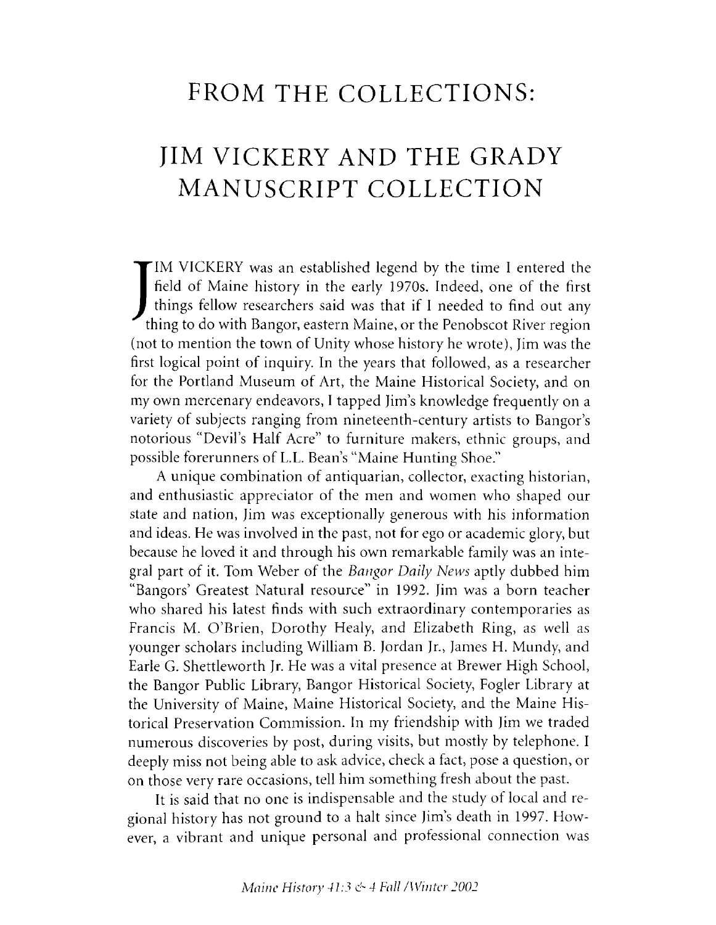## **FROM THE COLLECTIONS:**

# **JIM VICKERY AND THE GRADY MANUSCRIPT COLLECTION**

IM VICKERY was an established legend by the time I entered the<br>field of Maine history in the early 1970s. Indeed, one of the first<br>things fellow researchers said was that if I needed to find out any<br>thing to do with Bangor IM VICKERY was an established legend by the time I entered the field of Maine history in the early 1970s. Indeed, one of the first things fellow researchers said was that if I needed to find out any (not to mention the town of Unity whose history he wrote), Jim was the first logical point of inquiry. In the years that followed, as a researcher for the Portland Museum of Art, the Maine Historical Society, and on my own mercenary endeavors, I tapped Jim's knowledge frequently on a variety of subjects ranging from nineteenth-century artists to Bangor's notorious "Devil's Half Acre" to furniture makers, ethnic groups, and possible forerunners of L.L. Bean's "Maine Hunting Shoe."

A unique combination of antiquarian, collector, exacting historian, and enthusiastic appreciator of the men and women who shaped our state and nation, Jim was exceptionally generous with his information and ideas. He was involved in the past, not for ego or academic glory, but because he loved it and through his own remarkable family was an integral part of it. Tom Weber of the *Bangor Daily News* aptly dubbed him "Bangors' Greatest Natural resource" in 1992. Jim was a born teacher who shared his latest finds with such extraordinary contemporaries as Francis M. O'Brien, Dorothy Healy, and Elizabeth Ring, as well as younger scholars including William B. Jordan Jr., James H. Mundy, and Earle G. Shettleworth Jr. He was a vital presence at Brewer High School, the Bangor Public Library, Bangor Historical Society, Fogler Library at the University of Maine, Maine Historical Society, and the Maine Historical Preservation Commission. In my friendship with Jim we traded numerous discoveries by post, during visits, but mostly by telephone. I deeply miss not being able to ask advice, check a fact, pose a question, or on those very rare occasions, tell him something fresh about the past.

It is said that no one is indispensable and the study of local and regional history has not ground to a halt since Jim's death in 1997. However, a vibrant and unique personal and professional connection was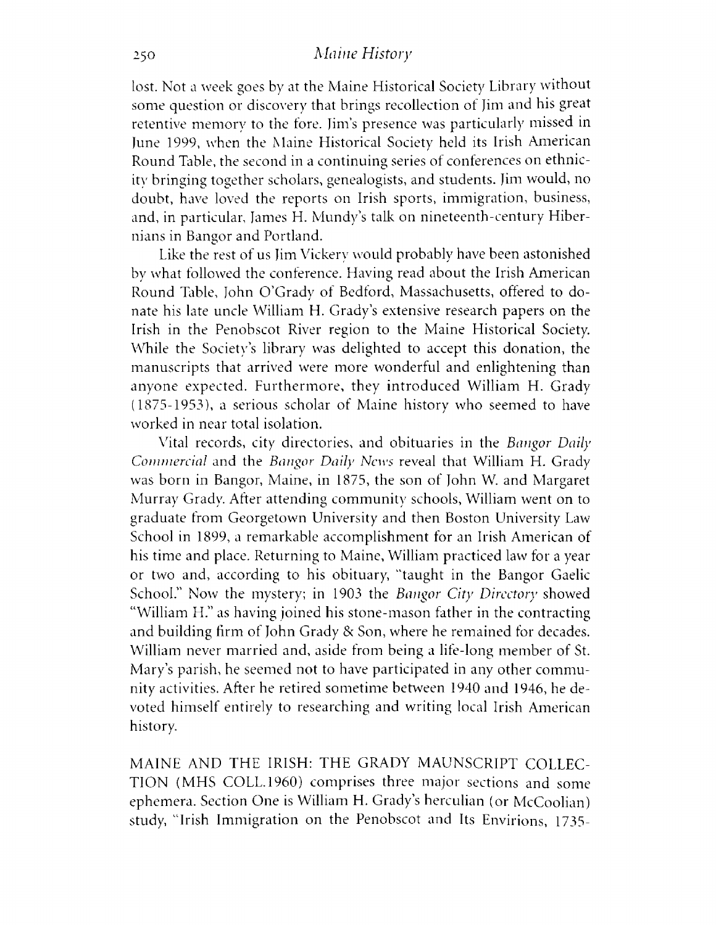### 250 *Maine History*

lost. Not a week goes by at the Maine Historical Society Library without some question or discovery that brings recollection of Jim and his great retentive memory to the fore. Jim's presence was particularly missed in June 1999, when the Maine Historical Society held its Irish American Round Table, the second in a continuing series of conferences on ethnicity bringing together scholars, genealogists, and students. Jim would, no doubt, have loved the reports on Irish sports, immigration, business, and, in particular, James H. Mundy's talk on nineteenth-century Hibernians in Bangor and Portland.

Like the rest of us Jim Vickery would probably have been astonished bv what followed the conference. Having read about the Irish American Round Table, John O'Grady of Bedford, Massachusetts, offered to donate his late uncle William H. Grady's extensive research papers on the Irish in the Penobscot River region to the Maine Historical Society. While the Society's library was delighted to accept this donation, the manuscripts that arrived were more wonderful and enlightening than anyone expected. Furthermore, they introduced William H. Grady (1875-1953), a serious scholar of Maine history who seemed to have worked in near total isolation.

Vital records, city directories, and obituaries in the *Bangor Daily Commercial* and the *Bangor Daily News* reveal that William H. Grady was born in Bangor, Maine, in 1875, the son of John W. and Margaret Murray Grady. After attending community schools, William went on to graduate from Georgetown University and then Boston University Law School in 1899, a remarkable accomplishment for an Irish American of his time and place. Returning to Maine, William practiced law for a year or two and, according to his obituary, "taught in the Bangor Gaelic School." Now the mystery; in 1903 the *Bangor City Directory* showed "William H." as having joined his stone-mason father in the contracting and building firm of John Grady & Son, where he remained for decades. William never married and, aside from being a life-long member of St. Mary's parish, he seemed not to have participated in any other community activities. After he retired sometime between 1940 and 1946, he devoted himself entirely to researching and writing local Irish American history.

MAINE AND THE IRISH: THE GRADY MAUNSCRIPT COLLEC-TION (MHS COLL.1960) comprises three major sections and some ephemera. Section One is William H. Grady's herculian (or McCoolian) study, "Irish Immigration on the Penobscot and Its Envirions, 1735-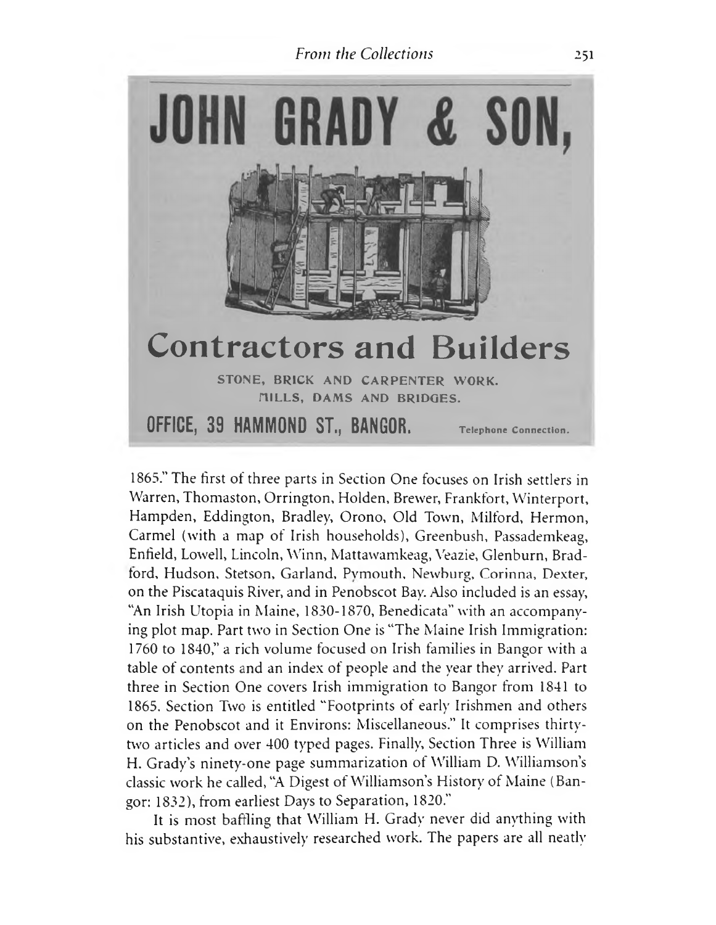### *From the Collections* 251



1865." The first of three parts in Section One focuses on Irish settlers in Warren, Thomaston, Orrington, Holden, Brewer, Frankfort, Winterport, Hampden, Eddington, Bradley, Orono, Old Town, Milford, Hermon, Carmel (with a map of Irish households), Greenbush, Passademkeag, Enfield, Lowell, Lincoln, W inn, Mattawamkeag, Veazie, Glenburn, Bradford, Hudson, Stetson, Garland, Pvmouth, Newburg, Corinna, Dexter, on the Piscataquis River, and in Penobscot Bay. Also included is an essay, "An Irish Utopia in Maine, 1830-1870, Benedicata" with an accompanying plot map. Part two in Section One is "The Maine Irish Immigration: 1760 to 1840," a rich volume focused on Irish families in Bangor with a table of contents and an index of people and the year they arrived. Part three in Section One covers Irish immigration to Bangor from 1841 to 1865. Section Two is entitled "Footprints of early Irishmen and others on the Penobscot and it Environs: Miscellaneous." It comprises thirtytwo articles and over 400 typed pages. Finally, Section Three is William H. Grady's ninety-one page summarization of William D. Williamson's classic work he called, "A Digest of Williamson's History of Maine (Bangor: 1832), from earliest Days to Separation, 1820."

It is most baffling that William H. Grady never did anything with his substantive, exhaustively researched work. The papers are all neatly